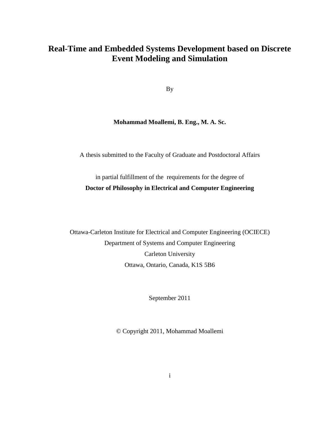## **Real-Time and Embedded Systems Development based on Discrete Event Modeling and Simulation**

By

## **Mohammad Moallemi, B. Eng., M. A. Sc.**

A thesis submitted to the Faculty of Graduate and Postdoctoral Affairs

in partial fulfillment of the requirements for the degree of **Doctor of Philosophy in Electrical and Computer Engineering**

Ottawa-Carleton Institute for Electrical and Computer Engineering (OCIECE) Department of Systems and Computer Engineering Carleton University Ottawa, Ontario, Canada, K1S 5B6

September 2011

© Copyright 2011, Mohammad Moallemi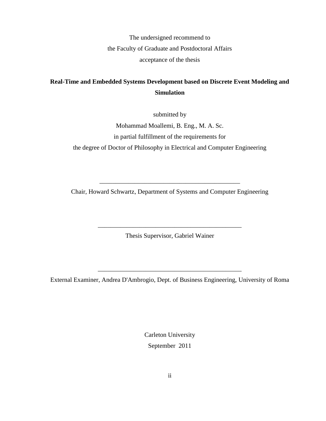The undersigned recommend to the Faculty of Graduate and Postdoctoral Affairs acceptance of the thesis

## **Real-Time and Embedded Systems Development based on Discrete Event Modeling and Simulation**

submitted by

Mohammad Moallemi, B. Eng., M. A. Sc. in partial fulfillment of the requirements for the degree of Doctor of Philosophy in Electrical and Computer Engineering

Chair, Howard Schwartz, Department of Systems and Computer Engineering

\_\_\_\_\_\_\_\_\_\_\_\_\_\_\_\_\_\_\_\_\_\_\_\_\_\_\_\_\_\_\_\_\_\_\_\_\_\_\_\_\_\_\_\_

Thesis Supervisor, Gabriel Wainer

\_\_\_\_\_\_\_\_\_\_\_\_\_\_\_\_\_\_\_\_\_\_\_\_\_\_\_\_\_\_\_\_\_\_\_\_\_\_\_\_\_\_\_\_\_

External Examiner, Andrea D'Ambrogio, Dept. of Business Engineering, University of Roma

\_\_\_\_\_\_\_\_\_\_\_\_\_\_\_\_\_\_\_\_\_\_\_\_\_\_\_\_\_\_\_\_\_\_\_\_\_\_\_\_\_\_\_\_\_

Carleton University September 2011